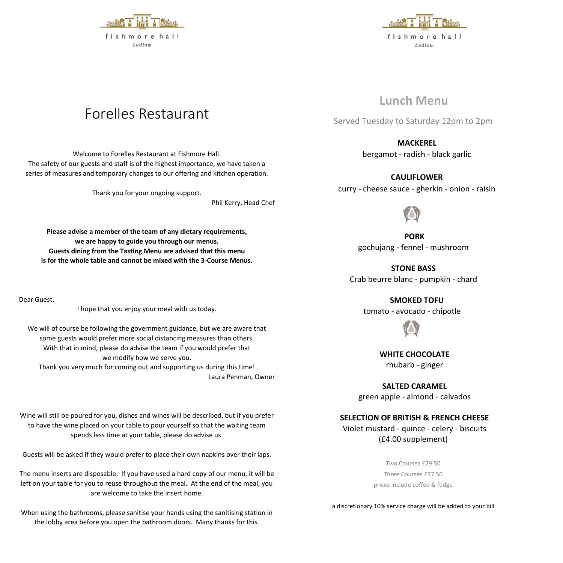



# **Lunch Menu**

Served Tuesday to Saturday 12pm to 2pm

# **MACKEREL**

bergamot - radish - black garlic

## **CAULIFLOWER**

curry - cheese sauce - gherkin - onion - raisin

**PORK** gochujang - fennel - mushroom

**STONE BASS** Crab beurre blanc - pumpkin - chard

**SMOKED TOFU**

tomato - avocado - chipotle

**WHITE CHOCOLATE**  rhubarb - ginger

**SALTED CARAMEL** green apple - almond - calvados

# **SELECTION OF BRITISH & FRENCH CHEESE**

Violet mustard - quince - celery - biscuits (£4.00 supplement)

> Two Courses £29.50 Three Courses £37.50 prices include coffee & fudge

a discretionary 10% service charge will be added to your bill

# Forelles Restaurant

Welcome to Forelles Restaurant at Fishmore Hall. The safety of our guests and staff is of the highest importance, we have taken a series of measures and temporary changes to our offering and kitchen operation.

Thank you for your ongoing support.

Phil Kerry, Head Chef

**Please advise a member of the team of any dietary requirements, we are happy to guide you through our menus. Guests dining from the Tasting Menu are advised that this menu is for the whole table and cannot be mixed with the 3-Course Menus.**

Dear Guest,

I hope that you enjoy your meal with us today.

We will of course be following the government guidance, but we are aware that some guests would prefer more social distancing measures than others. With that in mind, please do advise the team if you would prefer that we modify how we serve you. Thank you very much for coming out and supporting us during this time! Laura Penman, Owner

Wine will still be poured for you, dishes and wines will be described, but if you prefer to have the wine placed on your table to pour yourself so that the waiting team spends less time at your table, please do advise us.

Guests will be asked if they would prefer to place their own napkins over their laps.

The menu inserts are disposable. If you have used a hard copy of our menu, it will be left on your table for you to reuse throughout the meal. At the end of the meal, you are welcome to take the insert home.

When using the bathrooms, please sanitise your hands using the sanitising station in the lobby area before you open the bathroom doors. Many thanks for this.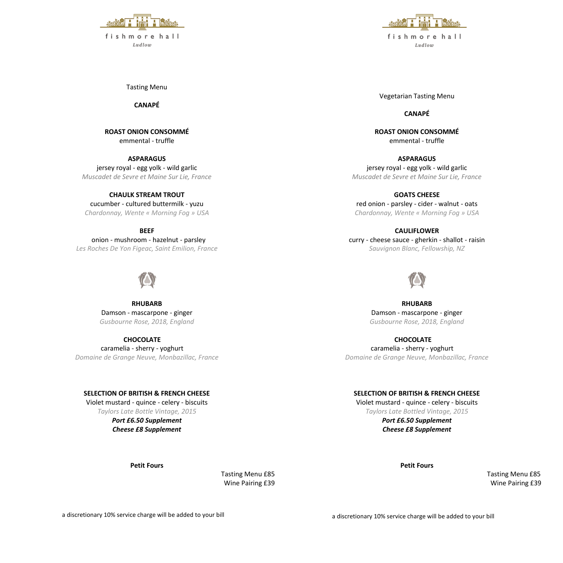

Tasting Menu

**CANAPÉ**

**ROAST ONION CONSOMMÉ** emmental - truffle

**ASPARAGUS** jersey royal - egg yolk - wild garlic *Muscadet de Sevre et Maine Sur Lie, France* 

**CHAULK STREAM TROUT** cucumber - cultured buttermilk - yuzu *Chardonnay, Wente « Morning Fog » USA*

**BEEF**

 onion - mushroom - hazelnut - parsley *Les Roches De Yon Figeac, Saint Emilion, France*



**RHUBARB** Damson - mascarpone - ginger *Gusbourne Rose, 2018, England*

**CHOCOLATE** caramelia - sherry - yoghurt *Domaine de Grange Neuve, Monbazillac, France* 

### **SELECTION OF BRITISH & FRENCH CHEESE**

Violet mustard - quince - celery - biscuits *Taylors Late Bottle Vintage, 2015 Port £6.50 Supplement Cheese £8 Supplement*

**Petit Fours**

Tasting Menu £85 Wine Pairing £39



Vegetarian Tasting Menu

**CANAPÉ**

**ROAST ONION CONSOMMÉ** emmental - truffle

**ASPARAGUS** jersey royal - egg yolk - wild garlic *Muscadet de Sevre et Maine Sur Lie, France* 

**GOATS CHEESE** red onion - parsley - cider - walnut - oats *Chardonnay, Wente « Morning Fog » USA*

**CAULIFLOWER** curry - cheese sauce - gherkin - shallot - raisin *Sauvignon Blanc, Fellowship, NZ*

**RHUBARB** Damson - mascarpone - ginger *Gusbourne Rose, 2018, England*

**CHOCOLATE** caramelia - sherry - yoghurt *Domaine de Grange Neuve, Monbazillac, France* 

#### **SELECTION OF BRITISH & FRENCH CHEESE**

Violet mustard - quince - celery - biscuits *Taylors Late Bottled Vintage, 2015*

> *Port £6.50 Supplement Cheese £8 Supplement*

> > **Petit Fours**

 Tasting Menu £85 Wine Pairing £39

a discretionary 10% service charge will be added to your bill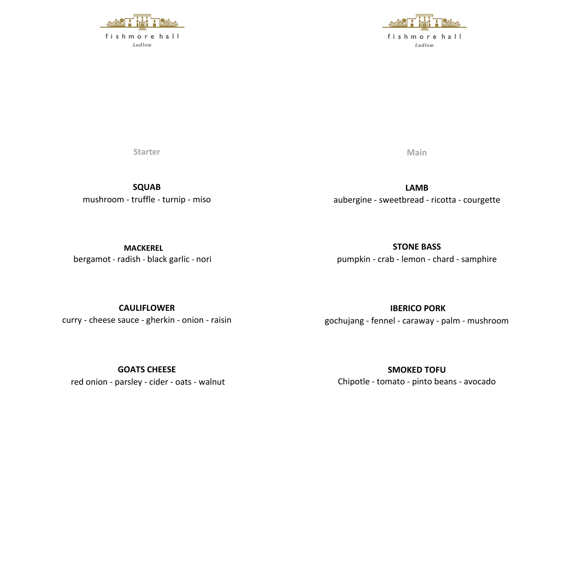

 $Ludlow$ 



**Starter** 

**SQUAB**  mushroom - truffle - turnip - miso **Main** 

**LAMB** aubergine - sweetbread - ricotta - courgette

**MACKEREL** bergamot - radish - black garlic - nori

**STONE BASS**  pumpkin - crab - lemon - chard - samphire

**CAULIFLOWER** curry - cheese sauce - gherkin - onion - raisin

**GOATS CHEESE** red onion - parsley - cider - oats - walnut **IBERICO PORK**

gochujang - fennel - caraway - palm - mushroom

**SMOKED TOFU** Chipotle - tomato - pinto beans - avocado